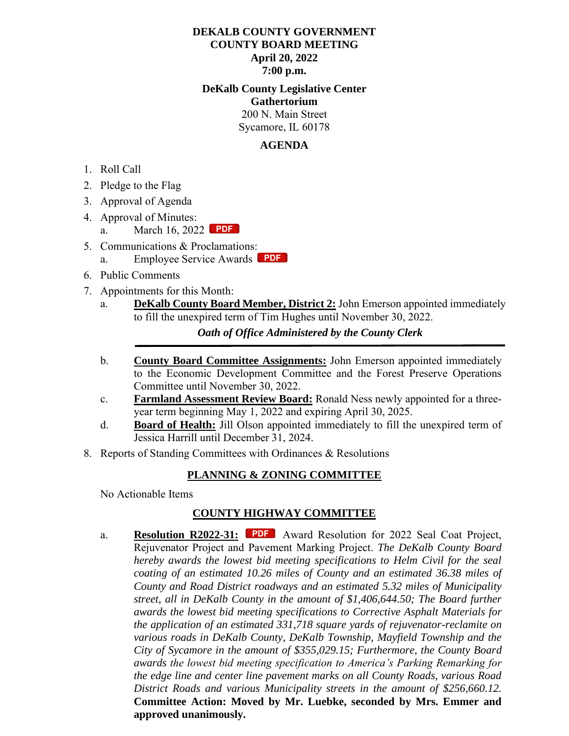### **DEKALB COUNTY GOVERNMENT COUNTY BOARD MEETING April 20, 2022 7:00 p.m.**

**DeKalb County Legislative Center Gathertorium** 200 N. Main Street Sycamore, IL 60178

#### **AGENDA**

- 1. Roll Call
- 2. Pledge to the Flag
- 3. Approval of Agenda
- 4. Approval of Minutes:
	- a. March 16, 2022 **PDF**
- 5. Communications & Proclamations[:](https://dekalbcounty.org/wp-content/uploads/2022/04/esa-2022-04.pdf)
	- a. Employee Service Awards **PDF**
- 6. Public Comments
- 7. Appointments for this Month:
	- a. **DeKalb County Board Member, District 2:** John Emerson appointed immediately to fill the unexpired term of Tim Hughes until November 30, 2022.

 *Oath of Office Administered by the County Clerk*

- b. **County Board Committee Assignments:** John Emerson appointed immediately to the Economic Development Committee and the Forest Preserve Operations Committee until November 30, 2022.
- c. **Farmland Assessment Review Board:** Ronald Ness newly appointed for a threeyear term beginning May 1, 2022 and expiring April 30, 2025.
- d. **Board of Health:** Jill Olson appointed immediately to fill the unexpired term of Jessica Harrill until December 31, 2024.
- 8. Reports of Standing Committees with Ordinances & Resolutions

## **PLANNING & ZONING COMMITTEE**

No Actionable Items

## **COUNTY HIGHWAY COMMITTEE**

a. **Resolution R2022-31:** PDF Award Resolution for 2022 Seal Coat Project, Rejuvenator Project an[d Paveme](https://dekalbcounty.org/wp-content/uploads/2022/04/reso-2022-31.pdf)nt Marking Project. *The DeKalb County Board hereby awards the lowest bid meeting specifications to Helm Civil for the seal coating of an estimated 10.26 miles of County and an estimated 36.38 miles of County and Road District roadways and an estimated 5.32 miles of Municipality street, all in DeKalb County in the amount of \$1,406,644.50; The Board further awards the lowest bid meeting specifications to Corrective Asphalt Materials for the application of an estimated 331,718 square yards of rejuvenator-reclamite on various roads in DeKalb County, DeKalb Township, Mayfield Township and the City of Sycamore in the amount of \$355,029.15; Furthermore, the County Board awards the lowest bid meeting specification to America's Parking Remarking for the edge line and center line pavement marks on all County Roads, various Road District Roads and various Municipality streets in the amount of \$256,660.12.* **Committee Action: Moved by Mr. Luebke, seconded by Mrs. Emmer and approved unanimously.**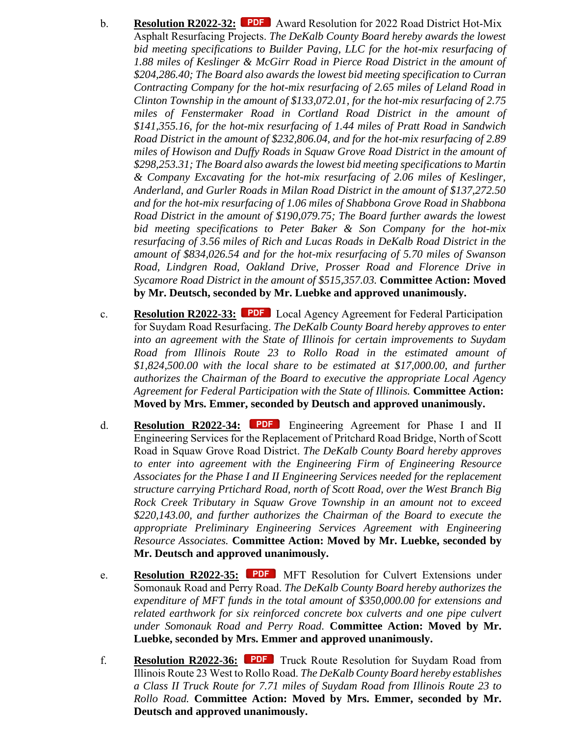- b. **Resolution R2022-32:** PDF [A](https://dekalbcounty.org/wp-content/uploads/2022/04/reso-2022-32.pdf)ward Resolution for 2022 Road District Hot-Mix Asphalt Resurfacing Projects. *The DeKalb County Board hereby awards the lowest bid meeting specifications to Builder Paving, LLC for the hot-mix resurfacing of 1.88 miles of Keslinger & McGirr Road in Pierce Road District in the amount of \$204,286.40; The Board also awards the lowest bid meeting specification to Curran Contracting Company for the hot-mix resurfacing of 2.65 miles of Leland Road in Clinton Township in the amount of \$133,072.01, for the hot-mix resurfacing of 2.75 miles of Fenstermaker Road in Cortland Road District in the amount of \$141,355.16, for the hot-mix resurfacing of 1.44 miles of Pratt Road in Sandwich Road District in the amount of \$232,806.04, and for the hot-mix resurfacing of 2.89 miles of Howison and Duffy Roads in Squaw Grove Road District in the amount of \$298,253.31; The Board also awards the lowest bid meeting specifications to Martin & Company Excavating for the hot-mix resurfacing of 2.06 miles of Keslinger, Anderland, and Gurler Roads in Milan Road District in the amount of \$137,272.50 and for the hot-mix resurfacing of 1.06 miles of Shabbona Grove Road in Shabbona Road District in the amount of \$190,079.75; The Board further awards the lowest bid meeting specifications to Peter Baker & Son Company for the hot-mix resurfacing of 3.56 miles of Rich and Lucas Roads in DeKalb Road District in the amount of \$834,026.54 and for the hot-mix resurfacing of 5.70 miles of Swanson Road, Lindgren Road, Oakland Drive, Prosser Road and Florence Drive in Sycamore Road District in the amount of \$515,357.03.* **Committee Action: Moved by Mr. Deutsch, seconded by Mr. Luebke and approved unanimously.**
- c. **Resolution R2022-33:** Local Agency Agreement for Federal Participation for Suydam Road Resurfacing. *The DeKalb County Board hereby approves to enter into an agreement with the State of Illinois for certain improvements to Suydam Road from Illinois Route 23 to Rollo Road in the estimated amount of \$1,824,500.00 with the local share to be estimated at \$17,000.00, and further authorizes the Chairman of the Board to executive the appropriate Local Agency Agreement for Federal Participation with the State of Illinois.* **Committee Action: Moved by Mrs. Emmer, seconded by Deutsch and approved unanimously.**
- d. **Resolution R2022-34:** Engineering Agreement for Phase I and II Engineering Services for the Replacement of Pritchard Road Bridge, North of Scott Road in Squaw Grove Road District. *The DeKalb County Board hereby approves to enter into agreement with the Engineering Firm of Engineering Resource Associates for the Phase I and II Engineering Services needed for the replacement structure carrying Prtichard Road, north of Scott Road, over the West Branch Big Rock Creek Tributary in Squaw Grove Township in an amount not to exceed \$220,143.00, and further authorizes the Chairman of the Board to execute the appropriate Preliminary Engineering Services Agreement with Engineering Resource Associates.* **Committee Action: Moved by Mr. Luebke, seconded by Mr. Deutsch and approved unanimously.**
- e. **Resolution R2022-35: PDF** [M](https://dekalbcounty.org/wp-content/uploads/2022/04/reso-2022-35.pdf)FT Resolution for Culvert Extensions under Somonauk Road and Perry Road. *The DeKalb County Board hereby authorizes the expenditure of MFT funds in the total amount of \$350,000.00 for extensions and related earthwork for six reinforced concrete box culverts and one pipe culvert under Somonauk Road and Perry Road.* **Committee Action: Moved by Mr. Luebke, seconded by Mrs. Emmer and approved unanimously.**
- f. **Resolution R2022-36:** Truck Route Resolution for Suydam Road from Illinois Route 23 West to Rollo Road. *The DeKalb County Board hereby establishes a Class II Truck Route for 7.71 miles of Suydam Road from Illinois Route 23 to Rollo Road.* **Committee Action: Moved by Mrs. Emmer, seconded by Mr. Deutsch and approved unanimously.**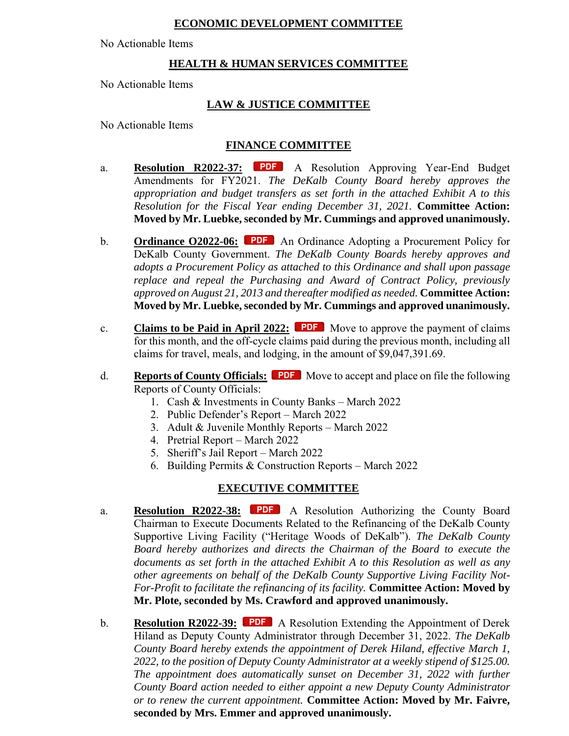### **ECONOMIC DEVELOPMENT COMMITTEE**

No Actionable Items

## **HEALTH & HUMAN SERVICES COMMITTEE**

No Actionable Items

### **LAW & JUSTICE COMMITTEE**

No Actionable Items

# **FINANCE COMMITTEE**

- a. **Resolution R2022-37:** PDF A Resolution Approving Year-End Budget Amendments for FY2021. *The DeKalb County Board hereby approves the appropriation and budget transfers as set forth in the attached Exhibit A to this Resolution for the Fiscal Year ending December 31, 2021.* **Committee Action: Moved by Mr. Luebke, seconded by Mr. Cummings and approved unanimously.**
- b. **Ordinance O2022-06:** PDF An Ordinance Adopting a Procurement Policy for DeKalb County Government. *The DeKalb County Boards hereby approves and adopts a Procurement Policy as attached to this Ordinance and shall upon passage replace and repeal the Purchasing and Award of Contract Policy, previously approved on August 21, 2013 and thereafter modified as needed.* **Committee Action: Moved by Mr. Luebke, seconded by Mr. Cummings and approved unanimously.**
- c. **Claims to be Paid in April 2022:** PDF Move to approve the payment of claims for this month, and the off-cycle claims paid during the previous month, including all claims for travel, meals, and lodging, in the amount of \$9,047,391.69.
- d. **Reports of County Officials: PDF** Move to accept and place on file the following Reports of County Officials:
	- 1. Cash & Investments in County Banks March 2022
	- 2. Public Defender's Report March 2022
	- 3. Adult & Juvenile Monthly Reports March 2022
	- 4. Pretrial Report March 2022
	- 5. Sheriff's Jail Report March 2022
	- 6. Building Permits & Construction Reports March 2022

#### **EXECUTIVE COMMITTEE**

- a. **Resolution R2022-38:** PDF A Resolution Authorizing the County Board Chairman to Execute Documents Related to the Refinancing of the DeKalb County Supportive Living Facility ("Heritage Woods of DeKalb"). *The DeKalb County Board hereby authorizes and directs the Chairman of the Board to execute the documents as set forth in the attached Exhibit A to this Resolution as well as any other agreements on behalf of the DeKalb County Supportive Living Facility Not-For-Profit to facilitate the refinancing of its facility.* **Committee Action: Moved by Mr. Plote, seconded by Ms. Crawford and approved unanimously.**
- b. **Resolution R2022-39:** PDF [A](https://dekalbcounty.org/wp-content/uploads/2022/04/reso-2022-39.pdf) Resolution Extending the Appointment of Derek Hiland as Deputy County Administrator through December 31, 2022. *The DeKalb County Board hereby extends the appointment of Derek Hiland, effective March 1, 2022, to the position of Deputy County Administrator at a weekly stipend of \$125.00. The appointment does automatically sunset on December 31, 2022 with further County Board action needed to either appoint a new Deputy County Administrator or to renew the current appointment.* **Committee Action: Moved by Mr. Faivre, seconded by Mrs. Emmer and approved unanimously.**